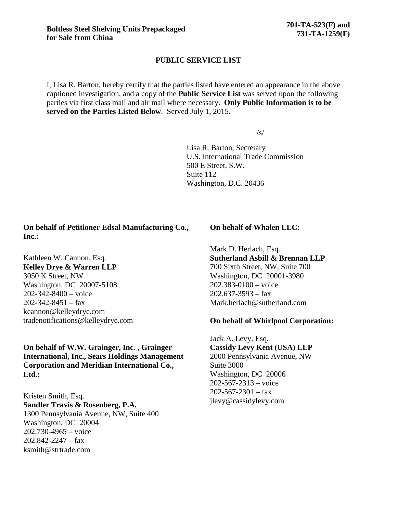### **PUBLIC SERVICE LIST**

I, Lisa R. Barton, hereby certify that the parties listed have entered an appearance in the above captioned investigation, and a copy of the **Public Service List** was served upon the following parties via first class mail and air mail where necessary. **Only Public Information is to be served on the Parties Listed Below**. Served July 1, 2015.

/s/

Lisa R. Barton, Secretary U.S. International Trade Commission 500 E Street, S.W. Suite 112 Washington, D.C. 20436

## **On behalf of Petitioner Edsal Manufacturing Co., Inc.:**

Kathleen W. Cannon, Esq. **Kelley Drye & Warren LLP** 3050 K Street, NW Washington, DC 20007-5108 202-342-8400 – voice  $202 - 342 - 8451 - fax$ kcannon@kelleydrye.com tradenotifications@kelleydrye.com

## **On behalf of W.W. Grainger, Inc. , Grainger International, Inc., Sears Holdings Management Corporation and Meridian International Co., Ltd.:**

Kristen Smith, Esq. **Sandler Travis & Rosenberg, P.A.**  1300 Pennsylvania Avenue, NW, Suite 400 Washington, DC 20004 202.730-4965 – voice  $202.842 - 2247 - fax$ ksmith@strtrade.com

#### **On behalf of Whalen LLC:**

Mark D. Herlach, Esq. **Sutherland Asbill & Brennan LLP** 700 Sixth Street, NW, Suite 700 Washington, DC 20001-3980 202.383-0100 – voice  $202.637 - 3593 - fax$ Mark.herlach@sutherland.com

### **On behalf of Whirlpool Corporation:**

Jack A. Levy, Esq. **Cassidy Levy Kent (USA) LLP** 2000 Pennsylvania Avenue, NW Suite 3000 Washington, DC 20006 202-567-2313 – voice  $202 - 567 - 2301 - fax$ jlevy@cassidylevy.com